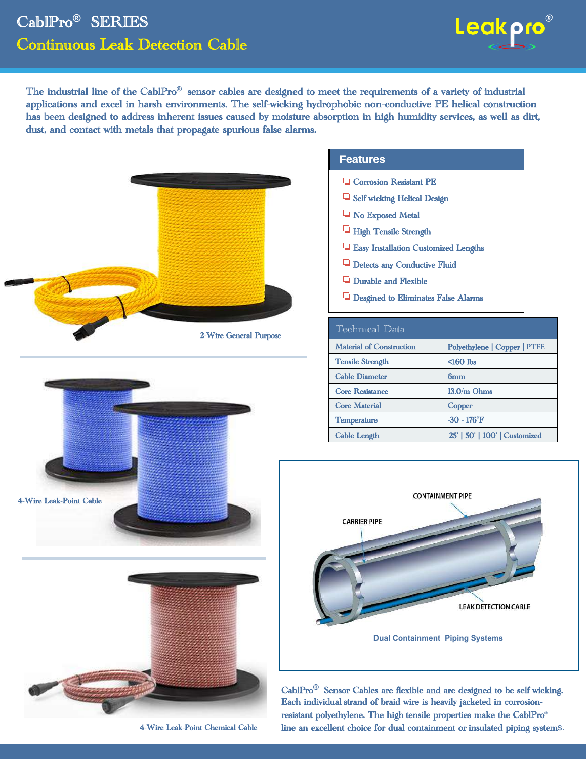### CablPro**®** SERIES Continuous Leak Detection Cable



The industrial line of the CablPro<sup>®</sup> sensor cables are designed to meet the requirements of a variety of industrial applications and excel in harsh environments. The self-wicking hydrophobic non-conductive PE helical construction has been designed to address inherent issues caused by moisture absorption in high humidity services, as well as dirt, dust, and contact with metals that propagate spurious false alarms.





![](_page_0_Picture_5.jpeg)

4-Wire Leak-Point Chemical Cable

#### **Features**

- **Q** Corrosion Resistant PE
- Self-wicking Helical Design
- **No Exposed Metal**
- High Tensile Strength
- Easy Installation Customized Lengths
- **Q** Detects any Conductive Fluid
- **Q** Durable and Flexible
- Desgined to Eliminates False Alarms

| Technical Data                  |                               |
|---------------------------------|-------------------------------|
| <b>Material of Construction</b> | Polyethylene   Copper   PTFE  |
| <b>Tensile Strength</b>         | $160$ lbs                     |
| <b>Cable Diameter</b>           | 6mm                           |
| <b>Core Resistance</b>          | $13.0/m$ Ohms                 |
| <b>Core Material</b>            | Copper                        |
| <b>Temperature</b>              | $-30 - 176$ °F                |
| <b>Cable Length</b>             | 25'   50'   100'   Customized |

![](_page_0_Picture_17.jpeg)

CablPro**®** Sensor Cables are flexible and are designed to be self-wicking. Each individual strand of braid wire is heavily jacketed in corrosionresistant polyethylene. The high tensile properties make the CablPro**®** line an excellent choice for dual containment or insulated piping systems.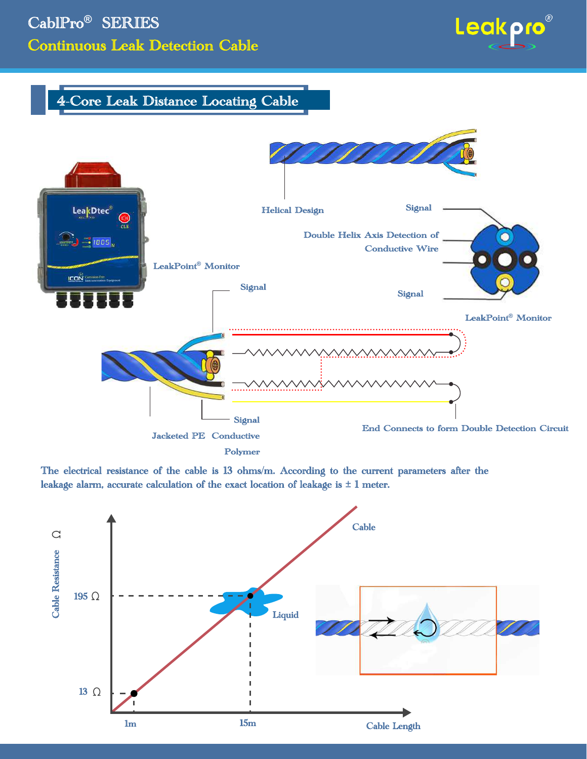# CablPro**®** SERIES Continuous Leak Detection Cable

![](_page_1_Picture_1.jpeg)

### 4-Core Leak Distance Locating Cable

![](_page_1_Figure_3.jpeg)

The electrical resistance of the cable is 13 ohms/m. According to the current parameters after the leakage alarm, accurate calculation of the exact location of leakage is  $\pm 1$  meter.

![](_page_1_Figure_5.jpeg)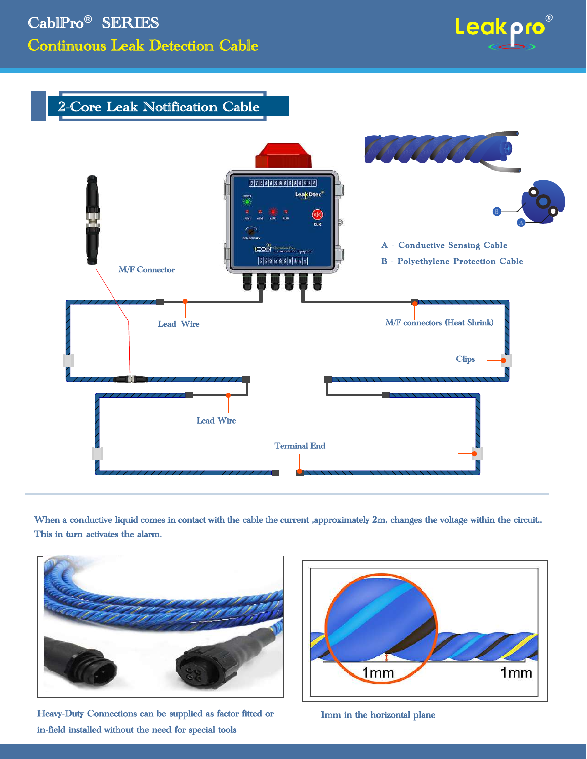![](_page_2_Picture_1.jpeg)

#### 2-Core Leak Notification Cable

![](_page_2_Picture_3.jpeg)

When a conductive liquid comes in contact with the cable the current ,approximately 2m, changes the voltage within the circuit.. This in turn activates the alarm.

![](_page_2_Picture_5.jpeg)

Heavy-Duty Connections can be supplied as factor fitted or in-field installed without the need for special tools

![](_page_2_Picture_7.jpeg)

1mm in the horizontal plane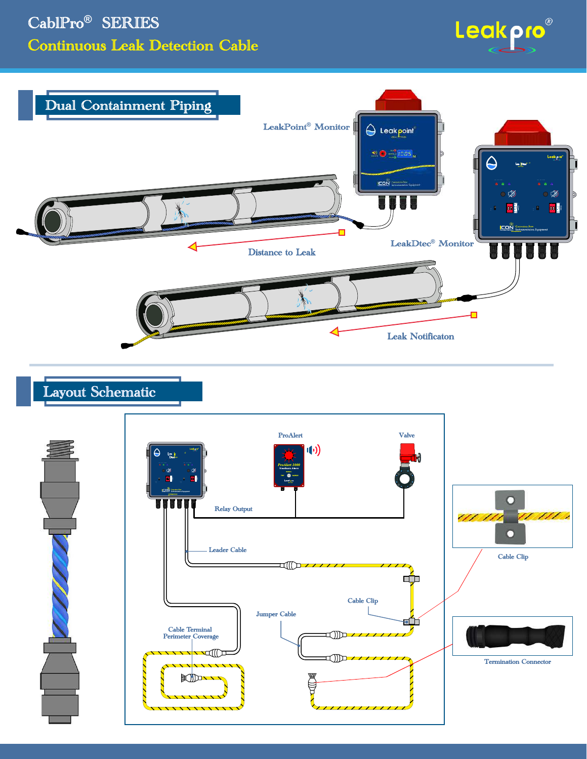![](_page_3_Picture_1.jpeg)

![](_page_3_Figure_2.jpeg)

## Layout Schematic

![](_page_3_Figure_4.jpeg)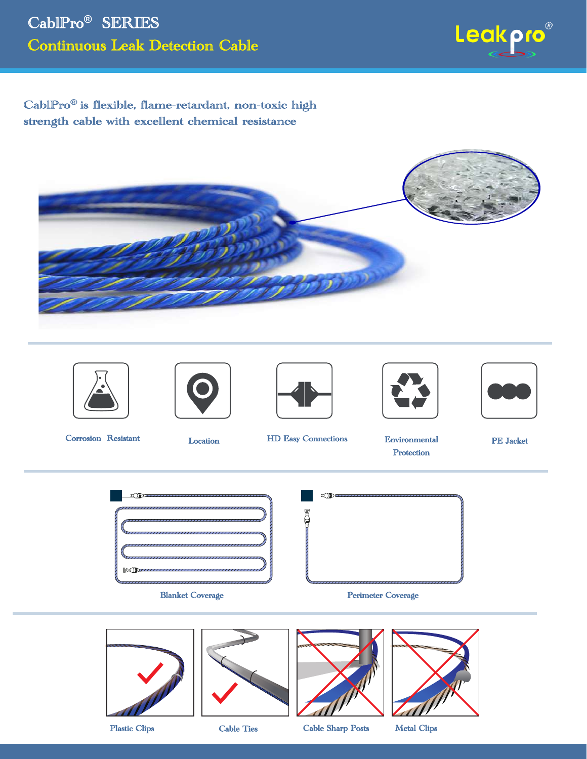![](_page_4_Picture_1.jpeg)

CablPro**®** is flexible, flame-retardant, non-toxic high strength cable with excellent chemical resistance

![](_page_4_Picture_3.jpeg)

![](_page_4_Picture_4.jpeg)

![](_page_4_Picture_5.jpeg)

![](_page_4_Picture_6.jpeg)

![](_page_4_Picture_7.jpeg)

![](_page_4_Picture_8.jpeg)

Corrosion Resistant Location HD Easy Connections Environmental

Protection

PE Jacket

 $D$ Blanket Coverage **Perimeter Coverage** Perimeter Coverage

![](_page_4_Picture_15.jpeg)

![](_page_4_Picture_17.jpeg)

![](_page_4_Picture_18.jpeg)

![](_page_4_Picture_19.jpeg)

![](_page_4_Picture_20.jpeg)

Plastic Clips Cable Ties Cable Sharp Posts Metal Clips